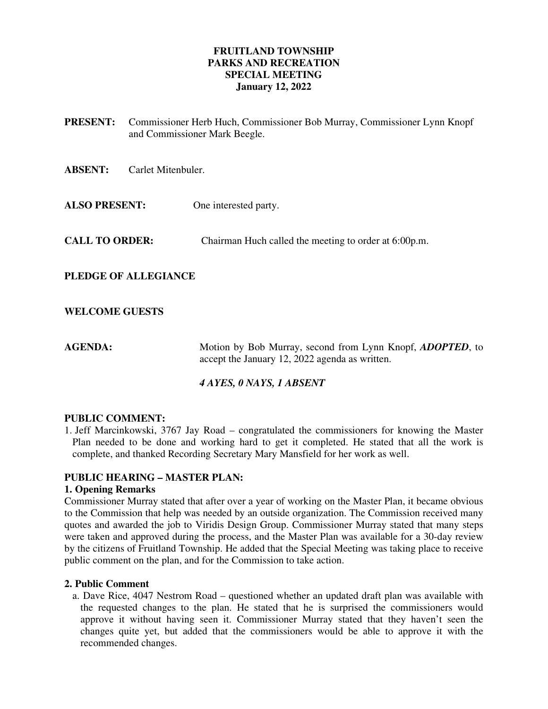## **FRUITLAND TOWNSHIP PARKS AND RECREATION SPECIAL MEETING January 12, 2022**

- **PRESENT:** Commissioner Herb Huch, Commissioner Bob Murray, Commissioner Lynn Knopf and Commissioner Mark Beegle.
- **ABSENT:** Carlet Mitenbuler.
- **ALSO PRESENT:** One interested party.
- **CALL TO ORDER:** Chairman Huch called the meeting to order at 6:00p.m.
- **PLEDGE OF ALLEGIANCE**

### **WELCOME GUESTS**

**AGENDA:** Motion by Bob Murray, second from Lynn Knopf, *ADOPTED*, to accept the January 12, 2022 agenda as written.

### *4 AYES, 0 NAYS, 1 ABSENT*

### **PUBLIC COMMENT:**

1. Jeff Marcinkowski, 3767 Jay Road – congratulated the commissioners for knowing the Master Plan needed to be done and working hard to get it completed. He stated that all the work is complete, and thanked Recording Secretary Mary Mansfield for her work as well.

### **PUBLIC HEARING – MASTER PLAN:**

#### **1. Opening Remarks**

Commissioner Murray stated that after over a year of working on the Master Plan, it became obvious to the Commission that help was needed by an outside organization. The Commission received many quotes and awarded the job to Viridis Design Group. Commissioner Murray stated that many steps were taken and approved during the process, and the Master Plan was available for a 30-day review by the citizens of Fruitland Township. He added that the Special Meeting was taking place to receive public comment on the plan, and for the Commission to take action.

### **2. Public Comment**

a. Dave Rice, 4047 Nestrom Road – questioned whether an updated draft plan was available with the requested changes to the plan. He stated that he is surprised the commissioners would approve it without having seen it. Commissioner Murray stated that they haven't seen the changes quite yet, but added that the commissioners would be able to approve it with the recommended changes.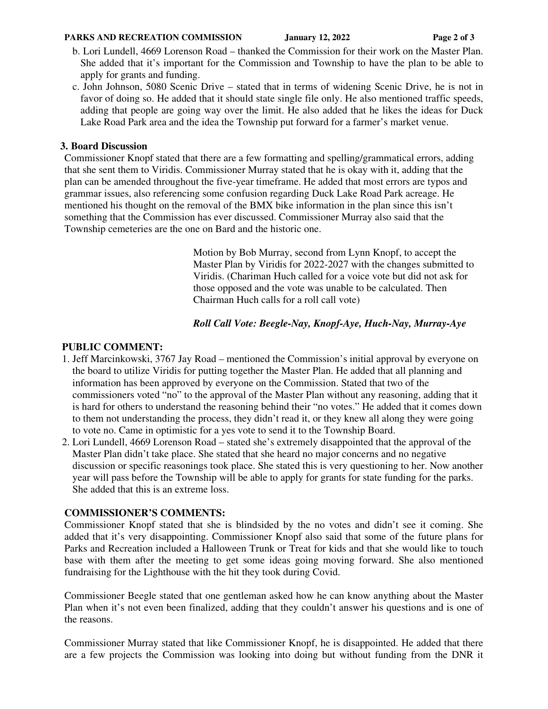#### **PARKS AND RECREATION COMMISSION** January 12, 2022 Page 2 of 3

- b. Lori Lundell, 4669 Lorenson Road thanked the Commission for their work on the Master Plan. She added that it's important for the Commission and Township to have the plan to be able to apply for grants and funding.
- c. John Johnson, 5080 Scenic Drive stated that in terms of widening Scenic Drive, he is not in favor of doing so. He added that it should state single file only. He also mentioned traffic speeds, adding that people are going way over the limit. He also added that he likes the ideas for Duck Lake Road Park area and the idea the Township put forward for a farmer's market venue.

# **3. Board Discussion**

Commissioner Knopf stated that there are a few formatting and spelling/grammatical errors, adding that she sent them to Viridis. Commissioner Murray stated that he is okay with it, adding that the plan can be amended throughout the five-year timeframe. He added that most errors are typos and grammar issues, also referencing some confusion regarding Duck Lake Road Park acreage. He mentioned his thought on the removal of the BMX bike information in the plan since this isn't something that the Commission has ever discussed. Commissioner Murray also said that the Township cemeteries are the one on Bard and the historic one.

> Motion by Bob Murray, second from Lynn Knopf, to accept the Master Plan by Viridis for 2022-2027 with the changes submitted to Viridis. (Chariman Huch called for a voice vote but did not ask for those opposed and the vote was unable to be calculated. Then Chairman Huch calls for a roll call vote)

## *Roll Call Vote: Beegle-Nay, Knopf-Aye, Huch-Nay, Murray-Aye*

# **PUBLIC COMMENT:**

- 1. Jeff Marcinkowski, 3767 Jay Road mentioned the Commission's initial approval by everyone on the board to utilize Viridis for putting together the Master Plan. He added that all planning and information has been approved by everyone on the Commission. Stated that two of the commissioners voted "no" to the approval of the Master Plan without any reasoning, adding that it is hard for others to understand the reasoning behind their "no votes." He added that it comes down to them not understanding the process, they didn't read it, or they knew all along they were going to vote no. Came in optimistic for a yes vote to send it to the Township Board.
- 2. Lori Lundell, 4669 Lorenson Road stated she's extremely disappointed that the approval of the Master Plan didn't take place. She stated that she heard no major concerns and no negative discussion or specific reasonings took place. She stated this is very questioning to her. Now another year will pass before the Township will be able to apply for grants for state funding for the parks. She added that this is an extreme loss.

## **COMMISSIONER'S COMMENTS:**

Commissioner Knopf stated that she is blindsided by the no votes and didn't see it coming. She added that it's very disappointing. Commissioner Knopf also said that some of the future plans for Parks and Recreation included a Halloween Trunk or Treat for kids and that she would like to touch base with them after the meeting to get some ideas going moving forward. She also mentioned fundraising for the Lighthouse with the hit they took during Covid.

Commissioner Beegle stated that one gentleman asked how he can know anything about the Master Plan when it's not even been finalized, adding that they couldn't answer his questions and is one of the reasons.

Commissioner Murray stated that like Commissioner Knopf, he is disappointed. He added that there are a few projects the Commission was looking into doing but without funding from the DNR it